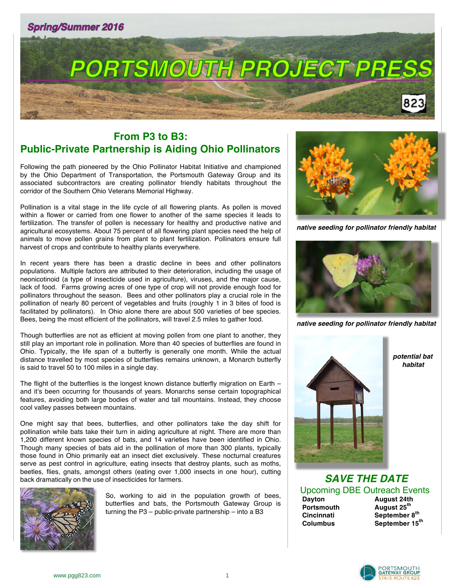



# **From P3 to B3: Public-Private Partnership is Aiding Ohio Pollinators**

Following the path pioneered by the Ohio Pollinator Habitat Initiative and championed by the Ohio Department of Transportation, the Portsmouth Gateway Group and its associated subcontractors are creating pollinator friendly habitats throughout the corridor of the Southern Ohio Veterans Memorial Highway.

Pollination is a vital stage in the life cycle of all flowering plants. As pollen is moved within a flower or carried from one flower to another of the same species it leads to fertilization. The transfer of pollen is necessary for healthy and productive native and agricultural ecosystems. About 75 percent of all flowering plant species need the help of animals to move pollen grains from plant to plant fertilization. Pollinators ensure full harvest of crops and contribute to healthy plants everywhere.

In recent years there has been a drastic decline in bees and other pollinators populations. Multiple factors are attributed to their deterioration, including the usage of neonicotinoid (a type of insecticide used in agriculture), viruses, and the major cause, lack of food. Farms growing acres of one type of crop will not provide enough food for pollinators throughout the season. Bees and other pollinators play a crucial role in the pollination of nearly 80 percent of vegetables and fruits (roughly 1 in 3 bites of food is facilitated by pollinators). In Ohio alone there are about 500 varieties of bee species. Bees, being the most efficient of the pollinators, will travel 2.5 miles to gather food.

Though butterflies are not as efficient at moving pollen from one plant to another, they still play an important role in pollination. More than 40 species of butterflies are found in Ohio. Typically, the life span of a butterfly is generally one month. While the actual distance travelled by most species of butterflies remains unknown, a Monarch butterfly is said to travel 50 to 100 miles in a single day.

The flight of the butterflies is the longest known distance butterfly migration on Earth – and it's been occurring for thousands of years. Monarchs sense certain topographical features, avoiding both large bodies of water and tall mountains. Instead, they choose cool valley passes between mountains.

One might say that bees, butterflies, and other pollinators take the day shift for pollination while bats take their turn in aiding agriculture at night. There are more than 1,200 different known species of bats, and 14 varieties have been identified in Ohio. Though many species of bats aid in the pollination of more than 300 plants, typically those found in Ohio primarily eat an insect diet exclusively. These nocturnal creatures serve as pest control in agriculture, eating insects that destroy plants, such as moths, beetles, flies, gnats, amongst others (eating over 1,000 insects in one hour), cutting back dramatically on the use of insecticides for farmers.



So, working to aid in the population growth of bees, butterflies and bats, the Portsmouth Gateway Group is turning the P3 – public-private partnership – into a B3



*native seeding for pollinator friendly habitat*



*native seeding for pollinator friendly habitat*



 *potential bat habitat*

*SAVE THE DATE* Upcoming DBE Outreach Events<br>Dayton **August 24th** 

 **Portsmouth August 25th**

 **Dayton August 24th Cincinnati September 8th Columbus September 15th**

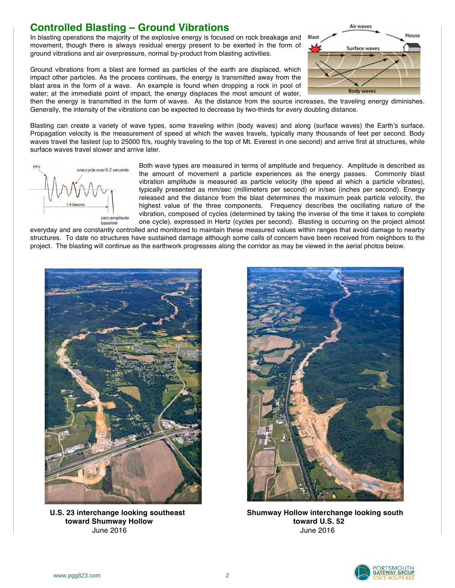#### **Controlled Blasting – Ground Vibrations**

In blasting operations the majority of the explosive energy is focused on rock breakage and movement, though there is always residual energy present to be exerted in the form of ground vibrations and air overpressure, normal by-product from blasting activities.

Ground vibrations from a blast are formed as particles of the earth are displaced, which impact other particles. As the process continues, the energy is transmitted away from the blast area in the form of a wave. An example is found when dropping a rock in pool of water; at the immediate point of impact, the energy displaces the most amount of water,



then the energy is transmitted in the form of waves. As the distance from the source increases, the traveling energy diminishes. Generally, the intensity of the vibrations can be expected to decrease by two-thirds for every doubling distance.

Blasting can create a variety of wave types, some traveling within (body waves) and along (surface waves) the Earth's surface. Propagation velocity is the measurement of speed at which the waves travels, typically many thousands of feet per second. Body waves travel the fastest (up to 25000 ft/s, roughly traveling to the top of Mt. Everest in one second) and arrive first at structures, while surface waves travel slower and arrive later.



Both wave types are measured in terms of amplitude and frequency. Amplitude is described as the amount of movement a particle experiences as the energy passes. Commonly blast vibration amplitude is measured as particle velocity (the speed at which a particle vibrates), typically presented as mm/sec (millimeters per second) or in/sec (inches per second). Energy released and the distance from the blast determines the maximum peak particle velocity, the highest value of the three components. Frequency describes the oscillating nature of the vibration, composed of cycles (determined by taking the inverse of the time it takes to complete one cycle), expressed in Hertz (cycles per second). Blasting is occurring on the project almost

everyday and are constantly controlled and monitored to maintain these measured values within ranges that avoid damage to nearby structures. To date no structures have sustained damage although some calls of concern have been received from neighbors to the project. The blasting will continue as the earthwork progresses along the corridor as may be viewed in the aerial photos below.



**toward Shumway Hollow toward U.S. 52** June 2016 June 2016



**U.S. 23 interchange looking southeast Shumway Hollow interchange looking south**

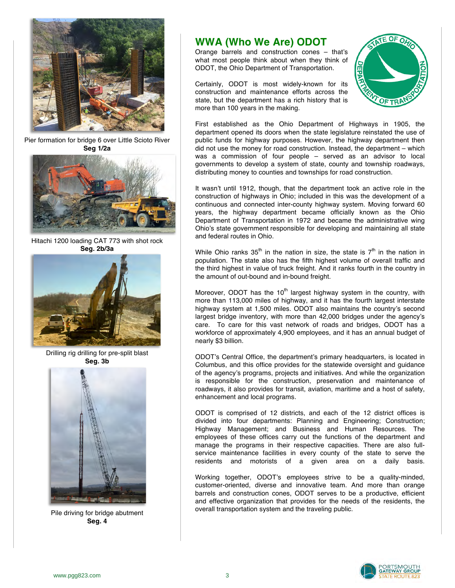

Pier formation for bridge 6 over Little Scioto River **Seg 1/2a**



Hitachi 1200 loading CAT 773 with shot rock **Seg. 2b/3a** 



Drilling rig drilling for pre-split blast **Seg. 3b**



Pile driving for bridge abutment **Seg. 4**

# **WWA (Who We Are) ODOT**

Orange barrels and construction cones – that's what most people think about when they think of ODOT, the Ohio Department of Transportation.

Certainly, ODOT is most widely-known for its construction and maintenance efforts across the state, but the department has a rich history that is more than 100 years in the making.



First established as the Ohio Department of Highways in 1905, the department opened its doors when the state legislature reinstated the use of public funds for highway purposes. However, the highway department then did not use the money for road construction. Instead, the department – which was a commission of four people – served as an advisor to local governments to develop a system of state, county and township roadways, distributing money to counties and townships for road construction.

It wasn't until 1912, though, that the department took an active role in the construction of highways in Ohio; included in this was the development of a continuous and connected inter-county highway system. Moving forward 60 years, the highway department became officially known as the Ohio Department of Transportation in 1972 and became the administrative wing Ohio's state government responsible for developing and maintaining all state and federal routes in Ohio.

While Ohio ranks 35<sup>th</sup> in the nation in size, the state is  $7<sup>th</sup>$  in the nation in population. The state also has the fifth highest volume of overall traffic and the third highest in value of truck freight. And it ranks fourth in the country in the amount of out-bound and in-bound freight.

Moreover, ODOT has the  $10<sup>th</sup>$  largest highway system in the country, with more than 113,000 miles of highway, and it has the fourth largest interstate highway system at 1,500 miles. ODOT also maintains the country's second largest bridge inventory, with more than 42,000 bridges under the agency's care. To care for this vast network of roads and bridges, ODOT has a workforce of approximately 4,900 employees, and it has an annual budget of nearly \$3 billion.

ODOT's Central Office, the department's primary headquarters, is located in Columbus, and this office provides for the statewide oversight and guidance of the agency's programs, projects and initiatives. And while the organization is responsible for the construction, preservation and maintenance of roadways, it also provides for transit, aviation, maritime and a host of safety, enhancement and local programs.

ODOT is comprised of 12 districts, and each of the 12 district offices is divided into four departments: Planning and Engineering; Construction; Highway Management; and Business and Human Resources. The employees of these offices carry out the functions of the department and manage the programs in their respective capacities. There are also fullservice maintenance facilities in every county of the state to serve the residents and motorists of a given area on a daily basis.

Working together, ODOT's employees strive to be a quality-minded, customer-oriented, diverse and innovative team. And more than orange barrels and construction cones, ODOT serves to be a productive, efficient and effective organization that provides for the needs of the residents, the overall transportation system and the traveling public.